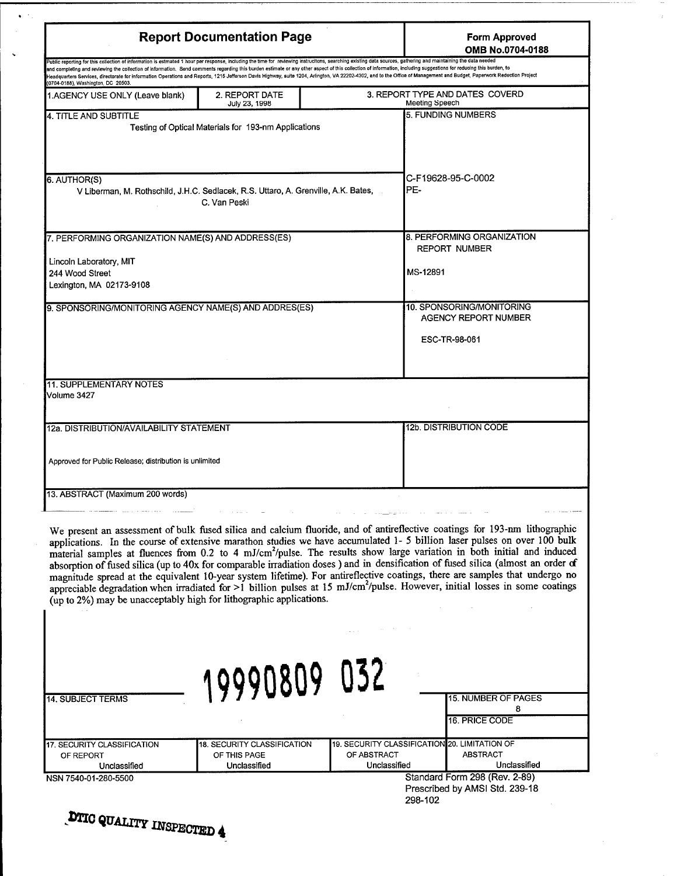| <b>Report Documentation Page</b>                                                                                                                                                                                                                                                                                                                                                                                                                                                                                                                                                                                                                                                                     |                                                             |                             | <b>Form Approved</b><br>OMB No.0704-0188                                                                                                                                                                                                                                                                                                                                                                                                                                                                                                                                                                                                                                                                                                                                                                   |
|------------------------------------------------------------------------------------------------------------------------------------------------------------------------------------------------------------------------------------------------------------------------------------------------------------------------------------------------------------------------------------------------------------------------------------------------------------------------------------------------------------------------------------------------------------------------------------------------------------------------------------------------------------------------------------------------------|-------------------------------------------------------------|-----------------------------|------------------------------------------------------------------------------------------------------------------------------------------------------------------------------------------------------------------------------------------------------------------------------------------------------------------------------------------------------------------------------------------------------------------------------------------------------------------------------------------------------------------------------------------------------------------------------------------------------------------------------------------------------------------------------------------------------------------------------------------------------------------------------------------------------------|
| Public reporting for this collection of information is estmated 1 hour per response, including the time for reviewing instructions, searching existing data sources, gathering and maintaining the data needed<br>and completing and reviewing the collection of information. Send comments regarding this burden estimate or any other aspect of this collection of information, including suggestions for reducing this burden, to<br>Headquarters Services, directorate for information Operations and Reports, 1215 Jefferson Davis Highway, suite 1204, Arlington, VA 22202-4302, and to the Office of Management and Budget, Paperwork Reduction Project<br>(0704-0188), Washington, DC 20503. |                                                             |                             |                                                                                                                                                                                                                                                                                                                                                                                                                                                                                                                                                                                                                                                                                                                                                                                                            |
| 1.AGENCY USE ONLY (Leave blank)                                                                                                                                                                                                                                                                                                                                                                                                                                                                                                                                                                                                                                                                      | 2. REPORT DATE<br>July 23, 1998                             |                             | 3. REPORT TYPE AND DATES COVERD<br>Meeting Speech                                                                                                                                                                                                                                                                                                                                                                                                                                                                                                                                                                                                                                                                                                                                                          |
| 4. TITLE AND SUBTITLE                                                                                                                                                                                                                                                                                                                                                                                                                                                                                                                                                                                                                                                                                | Testing of Optical Materials for 193-nm Applications        |                             | 5. FUNDING NUMBERS                                                                                                                                                                                                                                                                                                                                                                                                                                                                                                                                                                                                                                                                                                                                                                                         |
| 6. AUTHOR(S)<br>V Liberman, M. Rothschild, J.H.C. Sedlacek, R.S. Uttaro, A. Grenville, A.K. Bates,<br>C. Van Peski                                                                                                                                                                                                                                                                                                                                                                                                                                                                                                                                                                                   |                                                             |                             | C-F19628-95-C-0002<br>PE-                                                                                                                                                                                                                                                                                                                                                                                                                                                                                                                                                                                                                                                                                                                                                                                  |
| 7. PERFORMING ORGANIZATION NAME(S) AND ADDRESS(ES)                                                                                                                                                                                                                                                                                                                                                                                                                                                                                                                                                                                                                                                   |                                                             |                             | 8. PERFORMING ORGANIZATION<br><b>REPORT NUMBER</b>                                                                                                                                                                                                                                                                                                                                                                                                                                                                                                                                                                                                                                                                                                                                                         |
| Lincoln Laboratory, MIT<br>244 Wood Street<br>Lexington, MA 02173-9108                                                                                                                                                                                                                                                                                                                                                                                                                                                                                                                                                                                                                               |                                                             |                             | MS-12891                                                                                                                                                                                                                                                                                                                                                                                                                                                                                                                                                                                                                                                                                                                                                                                                   |
| 9. SPONSORING/MONITORING AGENCY NAME(S) AND ADDRES(ES)                                                                                                                                                                                                                                                                                                                                                                                                                                                                                                                                                                                                                                               |                                                             |                             | 10. SPONSORING/MONITORING<br><b>AGENCY REPORT NUMBER</b><br>ESC-TR-98-061                                                                                                                                                                                                                                                                                                                                                                                                                                                                                                                                                                                                                                                                                                                                  |
| 11. SUPPLEMENTARY NOTES<br>Volume 3427                                                                                                                                                                                                                                                                                                                                                                                                                                                                                                                                                                                                                                                               |                                                             |                             | 12b. DISTRIBUTION CODE                                                                                                                                                                                                                                                                                                                                                                                                                                                                                                                                                                                                                                                                                                                                                                                     |
| 12a. DISTRIBUTION/AVAILABILITY STATEMENT<br>Approved for Public Release; distribution is unlimited                                                                                                                                                                                                                                                                                                                                                                                                                                                                                                                                                                                                   |                                                             |                             |                                                                                                                                                                                                                                                                                                                                                                                                                                                                                                                                                                                                                                                                                                                                                                                                            |
| 13. ABSTRACT (Maximum 200 words)                                                                                                                                                                                                                                                                                                                                                                                                                                                                                                                                                                                                                                                                     |                                                             |                             |                                                                                                                                                                                                                                                                                                                                                                                                                                                                                                                                                                                                                                                                                                                                                                                                            |
| (up to 2%) may be unacceptably high for lithographic applications.                                                                                                                                                                                                                                                                                                                                                                                                                                                                                                                                                                                                                                   |                                                             |                             | We present an assessment of bulk fused silica and calcium fluoride, and of antireflective coatings for 193-nm lithographic<br>applications. In the course of extensive marathon studies we have accumulated 1- 5 billion laser pulses on over 100 bulk<br>material samples at fluences from 0.2 to 4 mJ/cm <sup>2</sup> /pulse. The results show large variation in both initial and induced<br>absorption of fused silica (up to 40x for comparable irradiation doses) and in densification of fused silica (almost an order of<br>magnitude spread at the equivalent 10-year system lifetime). For antireflective coatings, there are samples that undergo no<br>appreciable degradation when irradiated for >1 billion pulses at 15 mJ/cm <sup>2</sup> /pulse. However, initial losses in some coatings |
| 14. SUBJECT TERMS                                                                                                                                                                                                                                                                                                                                                                                                                                                                                                                                                                                                                                                                                    | 19990809 032                                                |                             | 15. NUMBER OF PAGES<br>8<br>16. PRICE CODE                                                                                                                                                                                                                                                                                                                                                                                                                                                                                                                                                                                                                                                                                                                                                                 |
| 17. SECURITY CLASSIFICATION<br>OF REPORT<br>Unclassified                                                                                                                                                                                                                                                                                                                                                                                                                                                                                                                                                                                                                                             | 18. SECURITY CLASSIFICATION<br>OF THIS PAGE<br>Unclassified | OF ABSTRACT<br>Unclassified | 19. SECURITY CLASSIFICATION 20. LIMITATION OF<br><b>ABSTRACT</b><br>Unclassified                                                                                                                                                                                                                                                                                                                                                                                                                                                                                                                                                                                                                                                                                                                           |
| NSN 7540-01-280-5500                                                                                                                                                                                                                                                                                                                                                                                                                                                                                                                                                                                                                                                                                 |                                                             |                             | Standard Form 298 (Rev. 2-89)<br>Dreceribed by AMSI Std. 230.18                                                                                                                                                                                                                                                                                                                                                                                                                                                                                                                                                                                                                                                                                                                                            |

**DTIC QUALITY INSPECTED 4** 

 $\mathbf{A}^{(1)}$  by

 $\sim$ 

 $\hat{\mathbf{v}}$ 

Prescribed byAMSI Std. 239-18 298-102

 $\cdots$ 

 $\hat{z}$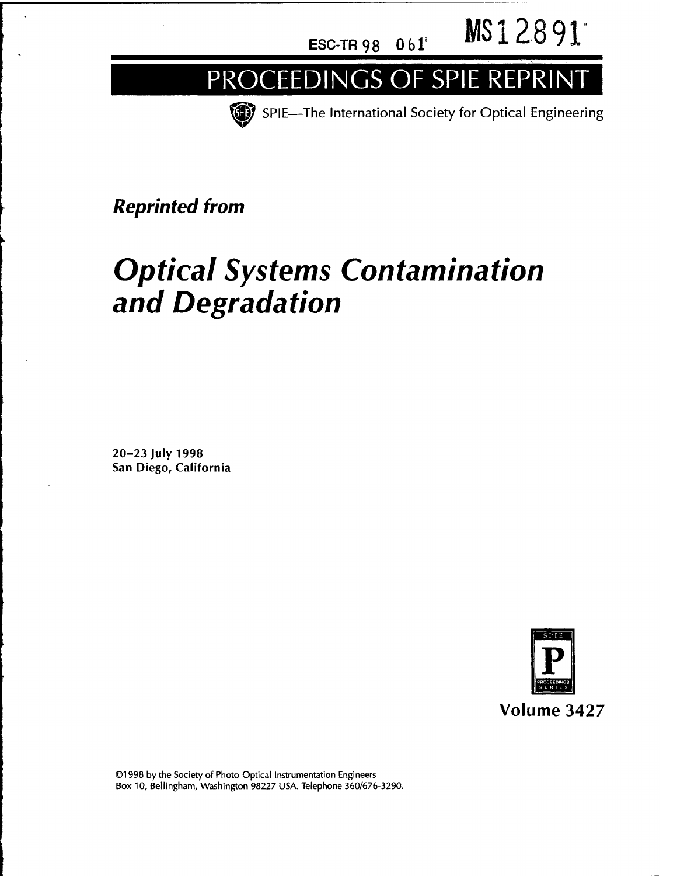**ESC-TR98 Obi'***<sup>v</sup>* **MSI 2891**

## PROCEEDINGS OF SPIE REPRINT

**33** SPIE—The International Society for Optical Engineering

*Reprinted from*

# *Optical Systems Contamination and Degradation*

20-23 July 1998 San Diego, California



©1998 by the Society of Photo-Optical Instrumentation Engineers Box 10, Bellingham, Washington 98227 USA. Telephone 360/676-3290.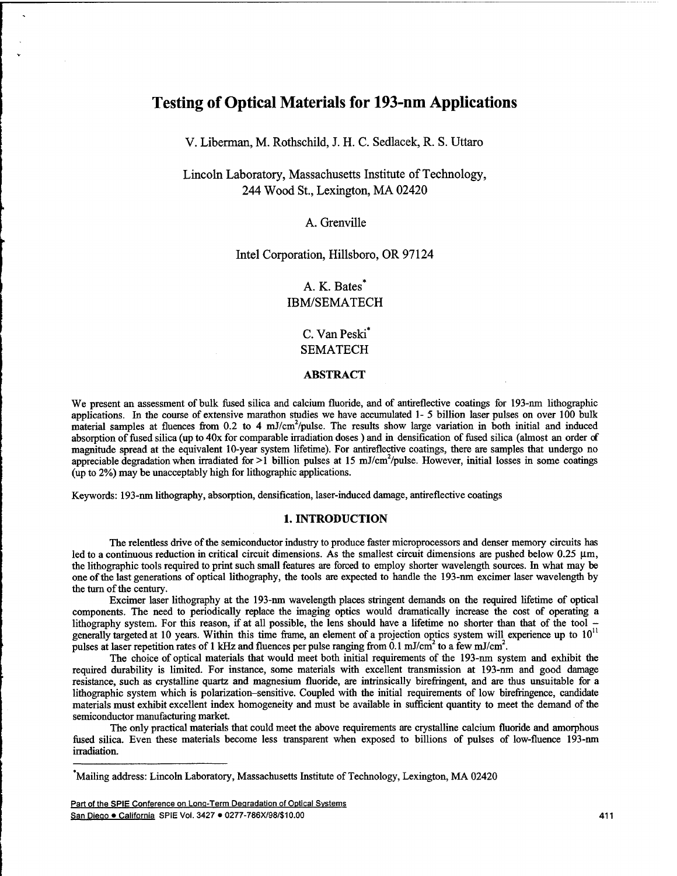## **Testing of Optical Materials for 193-nm Applications**

V. Liberman, M. Rothschild, J. H. C. Sedlacek, R. S. Uttaro

## Lincoln Laboratory, Massachusetts Institute of Technology, 244 Wood St., Lexington, MA 02420

#### A. Grenville

#### Intel Corporation, Hillsboro, OR 97124

## A. K. Bates<sup>\*</sup> IBM/SEMATECH

## C. Van Peski\* SEMATECH

#### **ABSTRACT**

We present an assessment of bulk fused silica and calcium fluoride, and of antireflective coatings for 193-nm lithographic applications. In the course of extensive marathon studies we have accumulated 1-5 billion laser pulses on over 100 bulk material samples at fluences from  $0.2$  to 4 mJ/cm<sup>2</sup>/pulse. The results show large variation in both initial and induced absorption of fused silica (up to 40x for comparable irradiation doses) and in densification of fused silica (almost an order of magnitude spread at the equivalent 10-year system lifetime). For antireflective coatings, there are samples that undergo no appreciable degradation when irradiated for >1 billion pulses at 15 mJ/cm<sup>2</sup>/pulse. However, initial losses in some coatings (up to 2%) may be unacceptably high for lithographic applications.

Keywords: 193-nm lithography, absorption, densification, laser-induced damage, antireflective coatings

#### **1. INTRODUCTION**

The relentless drive of the semiconductor industry to produce faster microprocessors and denser memory circuits has led to a continuous reduction in critical circuit dimensions. As the smallest circuit dimensions are pushed below  $0.25 \mu m$ , the lithographic tools required to print such small features are forced to employ shorter wavelength sources. In what may be one ofthe last generations of optical lithography, the tools are expected to handle the 193-nm excimer laser wavelength by the turn of the century.

Excimer laser lithography at the 193-nm wavelength places stringent demands on the required lifetime of optical components. The need to periodically replace the imaging optics would dramatically increase the cost of operating a lithography system. For this reason, if at all possible, the lens should have a lifetime no shorter than that of the tool generally targeted at 10 years. Within this time frame, an element of a projection optics system will experience up to  $10^{11}$ pulses at laser repetition rates of 1 kHz and fluences per pulse ranging from 0.1 mJ/cm<sup>2</sup> to a few mJ/cm<sup>2</sup>.

The choice of optical materials that would meet both initial requirements of the 193-nm system and exhibit the required durability is limited. For instance, some materials with excellent transmission at 193-nm and good damage resistance, such as crystalline quartz and magnesium fluoride, are intrinsically birefringent, and are thus unsuitable for a lithographic system which is polarization-sensitive. Coupled with the initial requirements of low birefringence, candidate materials must exhibit excellent index homogeneity and must be available in sufficient quantity to meet the demand of the semiconductor manufacturing market.

The only practical materials that could meet the above requirements are crystalline calcium fluoride and amorphous fused silica. Even these materials become less transparent when exposed to billions of pulses of low-fluence 193-nm irradiation.

Part of the SPIE Conference on Lonq-Term Degradation of Optical Systems San Diego *•* California SPIE Vol. <sup>3427</sup> • 0277-786X/98/\$10.00 <sup>411</sup>

Mailing address: Lincoln Laboratory, Massachusetts Institute of Technology, Lexington, MA 02420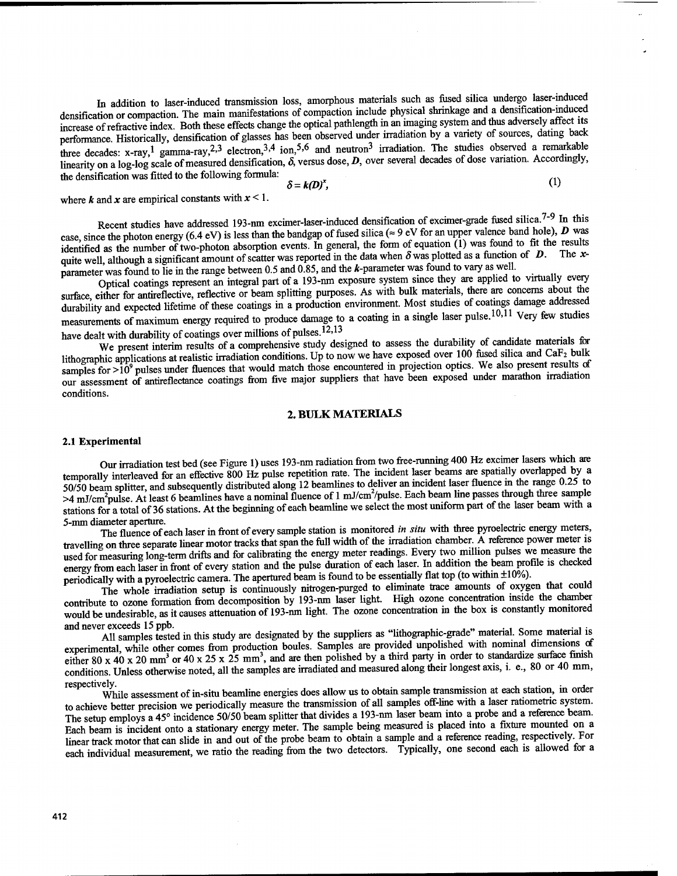In addition to laser-induced transmission loss, amorphous materials such as fused silica undergo laser-induced densification or compaction. The main manifestations of compaction include physical shrinkage and a densification-mduced increase of refractive index. Both these effects change the optical pathlength in an imaging system and thus adversely affect its performance Historically, densification of glasses has been observed under irradiation by a variety of sources, dating back three decades: x-ray,<sup>1</sup> gamma-ray,<sup>2,3</sup> electron,<sup>3,4</sup> ion,<sup>5,6</sup> and neutron<sup>3</sup> irradiation. The studies observed a remarkable linearity on a log-log scale of measured densification,  $\delta$ , versus dose, *D*, over several decades of dose variation. Accordingly, the densification was fitted to the following formula:

$$
\delta = k(D)^x, \tag{1}
$$

where **k** and **x** are empirical constants with  $x < 1$ .

Recent studies have addressed 193-nm excimer-laser-induced densification of excimer-grade fused silica.<sup>7-9</sup> In this case, since the photon energy (6.4 eV) is less than the bandgap of fused silica ( $\approx$  9 eV for an upper valence band hole), *D* was identified as the number of two-photon absorption events. In general, the form of equation (1) was found to fit the results quite well, although a significant amount of scatter was reported in the data when  $\delta$  was plotted as a function of  $D$ . The *x*parameter was found to lie in the range between 0.5 and 0.85, and the k-parameter was found to vary as well.

Optical coatings represent an integral part of a 193-nm exposure system since they are applied to virtually every surface, either for antireflective, reflective or beam splitting purposes. As with bulk materials, there are concerns about the durability and expected lifetime of these coatings in a production environment. Most studies of coatings damage addressed measurements of maximum energy required to produce damage to a coating in a single laser pulse.<sup>10,11</sup> Very few studies<br>have dealt with durability of coatings over millions of pulses.<sup>12,13</sup><br>Note that the durability of can have dealt with durability of coatings over millions of pulses.<sup>12,13</sup>

We present interim results of a comprehensive study designed to assess the durability of candidate materials for lithographic applications at realistic irradiation conditions. Up to now we have exposed over 100 fused silica and CaF<sub>2</sub> bulk  $\frac{1}{2}$  samples for  $>10^9$  pulses under fluences that would match those encountered in projection optics. We also present results of our assessment of antireflectance coatings from five major suppliers that have been exposed under marathon irradiation conditions.

#### **2. BULK MATERIALS**

#### **2.1 Experimental**

Our irradiation test bed (see Figure 1) uses 193-nm radiation from two free-running 400 Hz excimer lasers which are temporally interleaved for an effective 800 Hz pulse repetition rate. The incident laser beams are spatially overlapped by a 50/50 beam splitter, and subsequently distributed along 12 beamlines to deliver an incident laser fluence in the range 0.25 to  $>4$  mJ/cm<sup>2</sup>pulse. At least 6 beamlines have a nominal fluence of 1 mJ/cm<sup>2</sup>/pulse. Each beam line passes through three sample stations for a total of 36 stations. At the beginning of each beamline we select the most uniform part of the laser beam with a 5-mm diameter aperture.

The fluence of each laser in front of every sample station is monitored *in situ* with three pyroelectric energy meters, travelling on three separate linear motor tracks that span the fall width of the irradiation chamber. A reference power meter is used for measuring long-term drifts and for calibrating the energy meter readings. Every two million pulses we measure the energy from each laser in front of every station and the pulse duration of each laser. In addition the beam profile is checked periodically with a pyroelectric camera. The apertured beam is found to be essentially flat top (to within ±10%).

The whole irradiation setup is continuously nitrogen-purged to eliminate trace amounts of oxygen that could contribute to ozone formation from decomposition by 193-nm laser light. High ozone concentration inside the chamber would be undesirable, as it causes attenuation of 193-nm light. The ozone concentration in the box is constantly monitored

and never exceeds 15 ppb.<br>All samples tested in this study are designated by the suppliers as "lithographic-grade" material. Some material is experimental, while other comes from production boules. Samples are provided unpolished with nominal dimensions of either 80 x 40 x 20 mm<sup>3</sup> or 40 x 25 x 25 mm<sup>3</sup>, and are then polished by a third party in order to standardize surface finish conditions. Unless otherwise noted, all the samples are irradiated and measured along their longest axis, i. e., 80 or 40 mm, respectively.

While assessment of in-situ beamline energies does allow us to obtain sample transmission at each station, in order to achieve better precision we periodically measure the transmission of all samples off-line with a laser ratiometric system. The setup employs a 45° incidence 50/50 beam splitter that divides a 193-nm laser beam into a probe and a reference beam. Each beam is incident onto a stationary energy meter. The sample being measured is placed into a fixture mounted on a linear track motor that can slide in and out of the probe beam to obtain a sample and a reference reading, respectively. For each individual measurement, we ratio the reading from the two detectors. Typically, one second each is allowed for a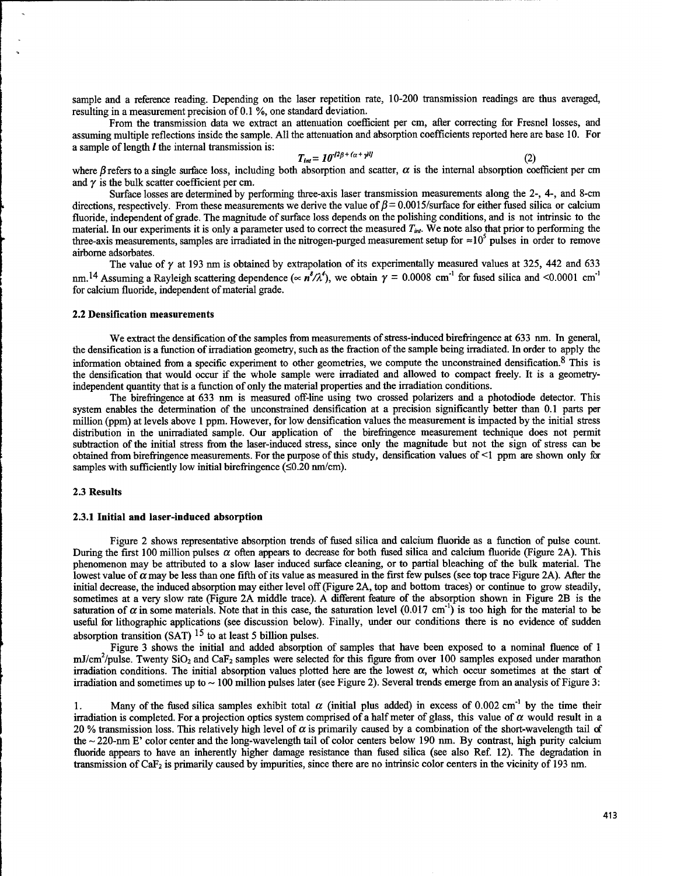sample and a reference reading. Depending on the laser repetition rate, 10-200 transmission readings are thus averaged, resulting in a measurement precision of 0.1 %, one standard deviation.

From the transmission data we extract an attenuation coefficient per cm, after correcting for Fresnel losses, and assuming multiple reflections inside the sample. All the attenuation and absorption coefficients reported here are base 10. For a sample of length  *the internal transmission is:* 

$$
T_{int} = 10^{-12\beta + (\alpha + \gamma)^{ij}}
$$
 (2)

where  $\beta$  refers to a single surface loss, including both absorption and scatter,  $\alpha$  is the internal absorption coefficient per cm and  $\gamma$  is the bulk scatter coefficient per cm.

Surface losses are determined by performing three-axis laser transmission measurements along the 2-, 4-, and 8-cm directions, respectively. From these measurements we derive the value of  $\beta$  = 0.0015/surface for either fused silica or calcium fluoride, independent of grade. The magnitude of surface loss depends on the polishing conditions, and is not intrinsic to the material. In our experiments it is only a parameter used to correct the measured  $T_{int}$ . We note also that prior to performing the three-axis measurements, samples are irradiated in the nitrogen-purged measurement setup for  $\approx 10^5$  pulses in order to remove airborne adsorbates.

The value of  $\gamma$  at 193 nm is obtained by extrapolation of its experimentally measured values at 325, 442 and 633 nm.<sup>14</sup> Assuming a Rayleigh scattering dependence ( $\propto n^8/\lambda^4$ ), we obtain  $\gamma = 0.0008$  cm<sup>-1</sup> for fused silica and <0.0001 cm<sup>-1</sup> for calcium fluoride, independent of material grade.

#### **2.2 Densification measurements**

We extract the densification of the samples from measurements of stress-induced birefringence at 633 nm. In general, the densification is a function of irradiation geometry, such as the fraction of the sample being irradiated. In order to apply the information obtained from a specific experiment to other geometries, we compute the unconstrained densification.<sup>8</sup> This is the densification that would occur if the whole sample were irradiated and allowed to compact freely. It is a geometryindependent quantity that is a function of only the material properties and the irradiation conditions.

The birefringence at 633 nm is measured off-line using two crossed polarizers and a photodiode detector. This system enables the determination of the unconstrained densification at a precision significantly better than 0.1 parts per million (ppm) at levels above <sup>1</sup> ppm. However, for low densification values the measurement is impacted by the initial stress distribution in the unirradiated sample. Our application of the birefringence measurement technique does not permit subtraction of the initial stress from the laser-induced stress, since only the magnitude but not the sign of stress can be obtained from birefringence measurements. For the purpose of this study, densification values of  $\leq 1$  ppm are shown only for samples with sufficiently low initial birefringence  $(\leq 0.20 \text{ nm/cm})$ .

#### **2.3 Results**

#### **2.3.1 Initial and laser-induced absorption**

Figure 2 shows representative absorption trends of fused silica and calcium fluoride as a function of pulse count. During the first 100 million pulses  $\alpha$  often appears to decrease for both fused silica and calcium fluoride (Figure 2A). This phenomenon may be attributed to a slow laser induced surface cleaning, or to partial bleaching of the bulk material. The lowest value of  $\alpha$  may be less than one fifth of its value as measured in the first few pulses (see top trace Figure 2A). After the initial decrease, the induced absorption may either level off(Figure 2A, top and bottom traces) or continue to grow steadily, sometimes at a very slow rate (Figure 2A middle trace). A different feature of the absorption shown in Figure 2B is the saturation of  $\alpha$  in some materials. Note that in this case, the saturation level (0.017 cm<sup>-1</sup>) is too high for the material to be useful for lithographic applications (see discussion below). Finally, under our conditions there is no evidence of sudden  $\mu$ absorption transition (SAT)<sup>15</sup> to at least 5 billion pulses.

Figure 3 shows the initial and added absorption of samples that have been exposed to a nominal fluence of <sup>1</sup>  $mJ/cm<sup>2</sup>/pulse$ . Twenty SiO<sub>2</sub> and CaF<sub>2</sub> samples were selected for this figure from over 100 samples exposed under marathon irradiation conditions. The initial absorption values plotted here are the lowest  $\alpha$ , which occur sometimes at the start of irradiation and sometimes up to  $\sim$  100 million pulses later (see Figure 2). Several trends emerge from an analysis of Figure 3:

1. Many of the fused silica samples exhibit total  $\alpha$  (initial plus added) in excess of 0.002 cm<sup>-1</sup> by the time their irradiation is completed. For a projection optics system comprised of a half meter of glass, this value of  $\alpha$  would result in a 20 % transmission loss. This relatively high level of *a* is primarily caused by a combination of the short-wavelength tail of the ~ 220-nm E' color center and the long-wavelength tail of color centers below 190 nm. By contrast, high purity calcium fluoride appears to have an inherently higher damage resistance than fused silica (see also Ref. 12). The degradation in transmission of  $CAF<sub>2</sub>$  is primarily caused by impurities, since there are no intrinsic color centers in the vicinity of 193 nm.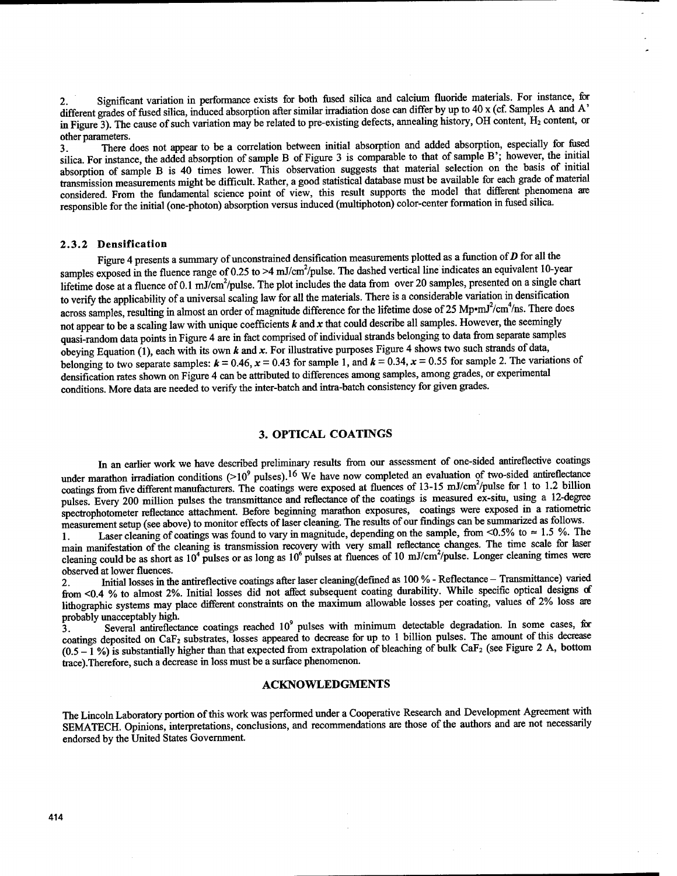2. Significant variation in performance exists for both fused silica and calcium fluoride materials. For instance, for different grades of fused silica, induced absorption after similar irradiation dose can differ by up to 40 x (cf. Samples A and A' in Figure 3). The cause of such variation may be related to pre-existing defects, annealing history, OH content, H<sub>2</sub> content, or other parameters.

3. There does not appear to be a correlation between initial absorption and added absorption, especially tor fused silica. For instance, the added absorption of sample B of Figure 3 is comparable to that of sample B'; however, the initial absorption of sample B is 40 times lower. This observation suggests that material selection on the basis of initial transmission measurements might be difficult. Rather, a good statistical database must be available for each grade of material considered. From the fundamental science point of view, this result supports the model that different phenomena are responsible for the initial (one-photon) absorption versus induced (multiphoton) color-center formation in fused silica.

#### **2.3.2 Densification**

Figure 4 presents a summary of unconstrained densification measurements plotted as a function of  $D$  for all the samples exposed in the fluence range of 0.25 to  $>4$  mJ/cm<sup>2</sup>/pulse. The dashed vertical line indicates an equivalent 10-year lifetime dose at a fluence of 0.1 mJ/cm<sup>2</sup>/pulse. The plot includes the data from over 20 samples, presented on a single chart to verify the applicability of a universal scaling law for all the materials. There is a considerable variation in densification across samples, resulting in almost an order of magnitude difference for the lifetime dose of 25 Mp $\cdot$ mJ $\cdot$ /cm $\cdot$ /ns. There does not appear to be a scaling law with unique coefficients *k* and *x* that could describe all samples. However, the seemingly quasi-random data points in Figure 4 are in fact comprised of individual strands belonging to data from separate samples obeying Equation (1), each with its own *k* and *x.* For illustrative purposes Figure 4 shows two such strands of data, belonging to two separate samples:  $k = 0.46$ ,  $x = 0.43$  for sample 1, and  $k = 0.34$ ,  $x = 0.55$  for sample 2. The variations of densification rates shown on Figure 4 can be attributed to differences among samples, among grades, or experimental conditions. More data are needed to verify the inter-batch and intra-batch consistency for given grades.

#### **3. OPTICAL COATINGS**

In an earlier work we have described preliminary results from our assessment of one-sided antireflective coatings in an earlier work we have described positions. <sup>16</sup> We have now completed an evaluation of two-sided antireflectance coatings from five different manufacturers. The coatings were exposed at fluences of 13-15 mJ/cm<sup>2</sup>/pulse for 1 to 1.2 billion pulses. Every 200 million pulses the transmittance and reflectance of the coatings is measured ex-situ, using a 12-degree spectrophotometer reflectance attachment. Before beginning marathon exposures, coatings were exposed in a ratiometric measurement setup (see above) to monitor effects of laser cleaning. The results of our findings can be summarized as follows.

1. Laser cleaning of coatings was found to vary in magnitude, depending on the sample, from  $\leq 0.5\%$  to  $\approx 1.5\%$ . The main manifestation of the cleaning is transmission recovery with very small reflectance changes. The time scale for laser cleaning could be as short as  $10^4$  pulses or as long as  $10^6$  pulses at fluences of 10 mJ/cm<sup>2</sup>/pulse. Longer cleaning times were

observed at lower fluences.<br>2. Initial losses in the antireflective coatings after laser cleaning(defined as 100 % - Reflectance - Transmittance) varied 2. Initial losses in the antireflective coatings after laser cleaning defined as 100% - Reflectance – Fransmittance) valied<br>from <0.4 % to almost 2%. Initial losses did not affect subsequent coating durability. While speci lithographic systems may place different constraints on the maximum allowable losses per coating, values of 2% loss are probably unacceptably high.

3. Several antireflectance coatings reached 10<sup>9</sup> pulses with minimum detectable degradation. In some cases, for coatings deposited on CaF<sup>2</sup> substrates, losses appeared to decrease for up to <sup>1</sup> billion pulses. The amount of this decrease  $(0.5 - 1\%)$  is substantially higher than that expected from extrapolation of bleaching of bulk CaF<sub>2</sub> (see Figure 2 A, bottom trace).Therefore, such a decrease in loss must be a surface phenomenon.

#### **ACKNOWLEDGMENTS**

The Lincoln Laboratory portion ofthis work was performed under a Cooperative Research and Development Agreement with SEMATECH. Opinions, interpretations, conclusions, and recommendations are those of the authors and are not necessarily endorsed by the United States Government.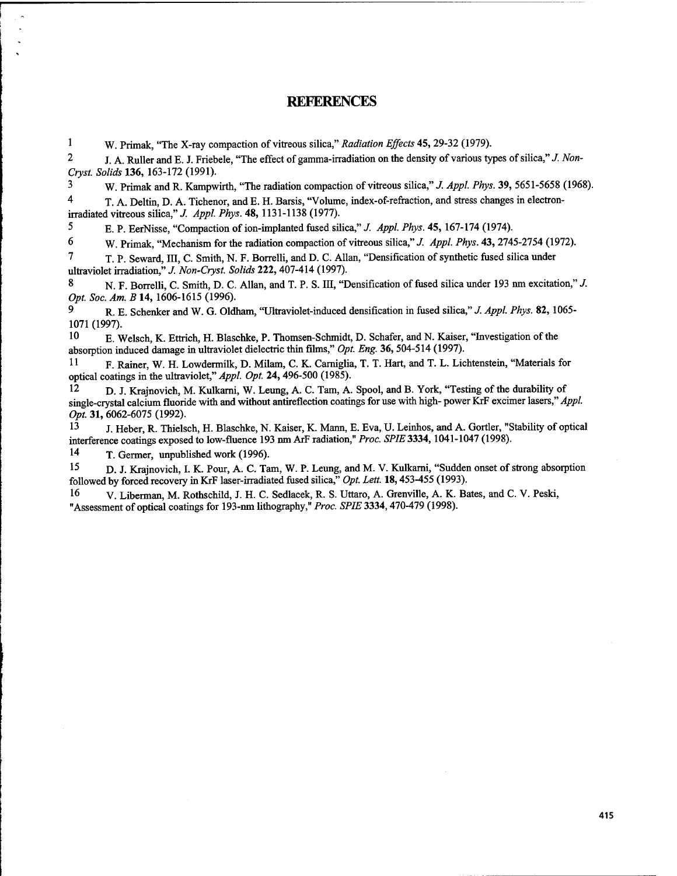### **REFERENCES**

<sup>1</sup> W. Primak, "The X-ray compaction of vitreous silica," *Radiation Effects* 45, 29-32 (1979).

2 J. A. Ruller and E. J. Friebele, "The effect ofgamma-irradiation on the density of various types ofsilica," *J. Non-Cryst. Solids* **136,** 163-172 (1991).

<sup>3</sup> W. Primak and R. Kampwirth, "The radiation compaction of vitreous silica," *J. Appl. Phys.* 39, 5651-5658 (1968).

4 T. A. Deltin, D. A. Tichenor, and E. H. Barsis, "Volume, index-of-refraction, and stress changes in electronirradiated vitreous silica," *J. Appl. Phys.* 48, 1131-1138 (1977).

5 E. P. EerNisse, "Compaction of ion-implanted fused silica," *J. Appl. Phys.* 45, 167-174 (1974).

6 W. Primak, "Mechanism for the radiation compaction of vitreous silica," *J. Appl. Phys.* **43,** 2745-2754 (1972).

7 T. P. Seward, III, C. Smith, N. F. Borrelli, and D. C. Allan, "Densification of synthetic fused silica under ultraviolet irradiation," *J. Non-Cryst. Solids* **222,**407-414 (1997).

8 N. F. Borrelli, C. Smith, D. C. Allan, and T. P. S. III, "Densification of fused silica under 193 nm excitation," *J. Opt. Soc. Am. B* **14,** 1606-1615 (1996).

9 R. E. Schenker and W. G. Oldham, "Ultraviolet-induced densification in fused silica," *J. Appl. Phys.* 82,1065- 1071 (1997).

<sup>10</sup> E. Welsch, K. Ettrich, H. Blaschke, P. Thomsen-Schmidt, D. Schäfer, and N. Kaiser, "Investigation ofthe absorption induced damage in ultraviolet dielectric thin films," *Opt. Eng.* **36,**504-514 (1997).

<sup>11</sup> F. Rainer, W. H. Lowdermilk, D. Milam, C. K. Carniglia, T. T. Hart, and T. L. Lichtenstein, "Materials for optical coatings in the ultraviolet," *Appl. Opt.* **24,**496-500 (1985).

D. J. Krajnovich, M. Kulkarni, W. Leung, A. C. Tam, A. Spool, and B. York, "Testing of the durability of single-crystal calcium fluoride with and without antireflection coatings for use with high- power KrF excimer lasers," *Appl. Opt.* **31,** 6062-6075 (1992).

13 J. Heber, R. Thielsch, H. Blaschke, N. Kaiser, K. Mann, E. Eva, U. Leinhos, and A. Gortler, "Stability of optical interference coatings exposed to low-fluence 193 nm ArF radiation," Proc. SPIE 3334, 1041-1047 (1998).

<sup>14</sup> T. Germer, unpublished work (1996).

15 D. J. Krajnovich, I. K. Pour, A. C. Tam, W. P. Leung, and M. V. Kulkarni, "Sudden onset of strong absorption followed by forced recovery in KrF laser-irradiated fused silica," *Opt. Lett.* 18,453-455 (1993).

<sup>16</sup> V. Liberman, M. Rothschild, J. H. C. Sedlacek, R. S. Uttaro, A. Grenville, A. K. Bates, and C. V. Peski, "Assessment of optical coatings for 193-nm lithography," *Proc. SPIE* 3334,470-479 (1998).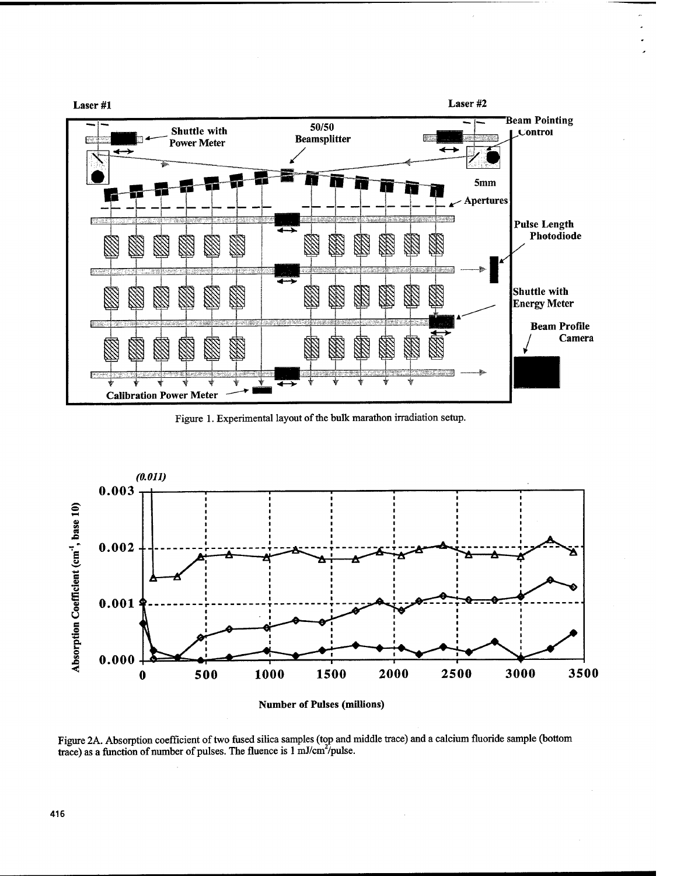

Figure 1. Experimental layout of the bulk marathon irradiation setup.



**Number of Pulses (millions)**

Figure 2A. Absorption coefficient of two fused silica samples (top and middle trace) and a calcium fluoride sample (bottom trace) as a function of number of pulses. The fluence is 1 mJ/cm<sup>2</sup>/pulse.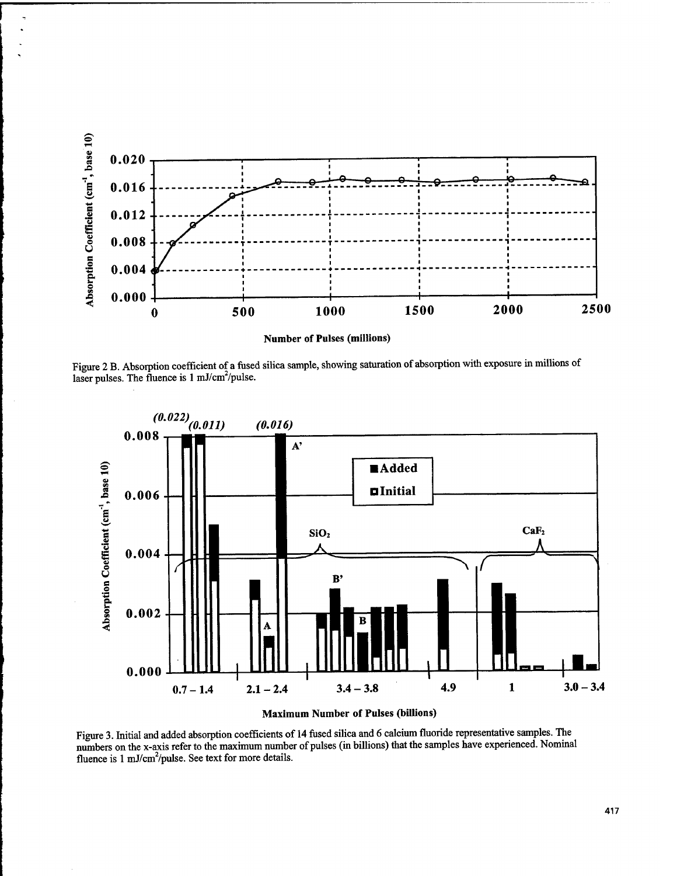

Figure 2 B. Absorption coefficient of a fused silica sample, showing saturation of absorption with exposure in millions of laser pulses. The fluence is  $1 \text{ mJ/cm}^2/\text{pulse}$ .





Figure 3. Initial and added absorption coefficients of 14 fused silica and 6 calcium fluoride representative samples. The numbers on the x-axis refer to the maximum number of pulses (in billions) that the samples have experienced. Nominal fluence is 1 mJ/cm<sup>2</sup>/pulse. See text for more details.